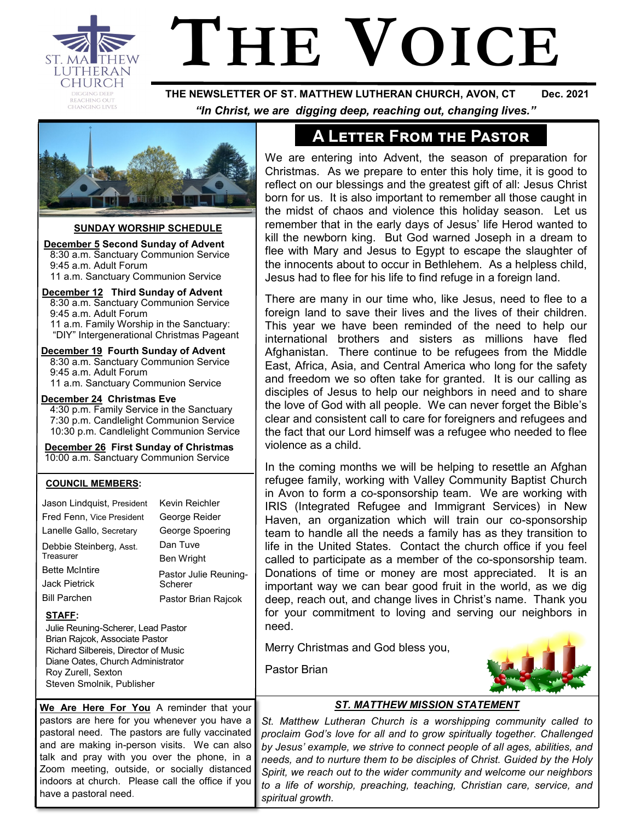

# **THE VOICE**

 **THE NEWSLETTER OF ST. MATTHEW LUTHERAN CHURCH, AVON, CT Dec. 2021**  *"In Christ, we are digging deep, reaching out, changing lives."*



#### **SUNDAY WORSHIP SCHEDULE**

**December 5 Second Sunday of Advent** 8:30 a.m. Sanctuary Communion Service 9:45 a.m. Adult Forum 11 a.m. Sanctuary Communion Service

 **December 12 Third Sunday of Advent** 8:30 a.m. Sanctuary Communion Service 9:45 a.m. Adult Forum 11 a.m. Family Worship in the Sanctuary: "DIY" Intergenerational Christmas Pageant

**December 19 Fourth Sunday of Advent** 8:30 a.m. Sanctuary Communion Service 9:45 a.m. Adult Forum 11 a.m. Sanctuary Communion Service

**December 24 Christmas Eve**

4:30 p.m. Family Service in the Sanctuary 7:30 p.m. Candlelight Communion Service 10:30 p.m. Candlelight Communion Service

 **December 26 First Sunday of Christmas** 10:00 a.m. Sanctuary Communion Service

#### **COUNCIL MEMBERS:**

| Jason Lindquist, President                                                                                                                                                                                     | Kevin Reichler        |  |  |  |  |
|----------------------------------------------------------------------------------------------------------------------------------------------------------------------------------------------------------------|-----------------------|--|--|--|--|
| Fred Fenn, Vice President                                                                                                                                                                                      | George Reider         |  |  |  |  |
| Lanelle Gallo, Secretary                                                                                                                                                                                       | George Spoering       |  |  |  |  |
| Debbie Steinberg, Asst.                                                                                                                                                                                        | Dan Tuve              |  |  |  |  |
| Treasurer                                                                                                                                                                                                      | Ben Wright            |  |  |  |  |
| <b>Bette McIntire</b>                                                                                                                                                                                          | Pastor Julie Reuning- |  |  |  |  |
| Jack Pietrick                                                                                                                                                                                                  | Scherer               |  |  |  |  |
| <b>Bill Parchen</b>                                                                                                                                                                                            | Pastor Brian Rajcok   |  |  |  |  |
| STAFF:<br>Julie Reuning-Scherer, Lead Pastor<br>Brian Rajcok, Associate Pastor<br>Richard Silbereis, Director of Music<br>Diane Oates, Church Administrator<br>Roy Zurell, Sexton<br>Steven Smolnik, Publisher |                       |  |  |  |  |
|                                                                                                                                                                                                                |                       |  |  |  |  |

**We Are Here For You** A reminder that your pastors are here for you whenever you have a pastoral need. The pastors are fully vaccinated and are making in-person visits. We can also talk and pray with you over the phone, in a Zoom meeting, outside, or socially distanced indoors at church. Please call the office if you have a pastoral need.

# **A Letter From the Pastor**

We are entering into Advent, the season of preparation for Christmas. As we prepare to enter this holy time, it is good to reflect on our blessings and the greatest gift of all: Jesus Christ born for us. It is also important to remember all those caught in the midst of chaos and violence this holiday season. Let us remember that in the early days of Jesus' life Herod wanted to kill the newborn king. But God warned Joseph in a dream to flee with Mary and Jesus to Egypt to escape the slaughter of the innocents about to occur in Bethlehem. As a helpless child, Jesus had to flee for his life to find refuge in a foreign land.

There are many in our time who, like Jesus, need to flee to a foreign land to save their lives and the lives of their children. This year we have been reminded of the need to help our international brothers and sisters as millions have fled Afghanistan. There continue to be refugees from the Middle East, Africa, Asia, and Central America who long for the safety and freedom we so often take for granted. It is our calling as disciples of Jesus to help our neighbors in need and to share the love of God with all people. We can never forget the Bible's clear and consistent call to care for foreigners and refugees and the fact that our Lord himself was a refugee who needed to flee violence as a child.

In the coming months we will be helping to resettle an Afghan refugee family, working with Valley Community Baptist Church in Avon to form a co-sponsorship team. We are working with IRIS (Integrated Refugee and Immigrant Services) in New Haven, an organization which will train our co-sponsorship team to handle all the needs a family has as they transition to life in the United States. Contact the church office if you feel called to participate as a member of the co-sponsorship team. Donations of time or money are most appreciated. It is an important way we can bear good fruit in the world, as we dig deep, reach out, and change lives in Christ's name. Thank you for your commitment to loving and serving our neighbors in need.

Merry Christmas and God bless you,

Pastor Brian



#### *ST. MATTHEW MISSION STATEMENT*

*St. Matthew Lutheran Church is a worshipping community called to proclaim God's love for all and to grow spiritually together. Challenged by Jesus' example, we strive to connect people of all ages, abilities, and needs, and to nurture them to be disciples of Christ. Guided by the Holy Spirit, we reach out to the wider community and welcome our neighbors to a life of worship, preaching, teaching, Christian care, service, and spiritual growth.*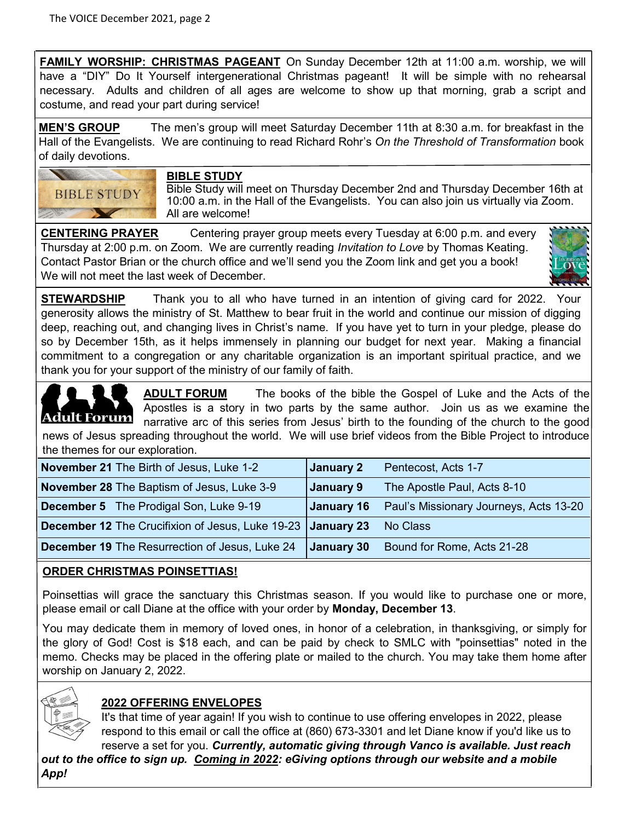**FAMILY WORSHIP: CHRISTMAS PAGEANT** On Sunday December 12th at 11:00 a.m. worship, we will have a "DIY" Do It Yourself intergenerational Christmas pageant! It will be simple with no rehearsal necessary. Adults and children of all ages are welcome to show up that morning, grab a script and costume, and read your part during service!

**MEN'S GROUP** The men's group will meet Saturday December 11th at 8:30 a.m. for breakfast in the Hall of the Evangelists. We are continuing to read Richard Rohr's *On the Threshold of Transformation* book of daily devotions.



#### **BIBLE STUDY**

Bible Study will meet on Thursday December 2nd and Thursday December 16th at 10:00 a.m. in the Hall of the Evangelists. You can also join us virtually via Zoom. All are welcome!

**CENTERING PRAYER** Centering prayer group meets every Tuesday at 6:00 p.m. and every Thursday at 2:00 p.m. on Zoom. We are currently reading *Invitation to Love* by Thomas Keating. Contact Pastor Brian or the church office and we'll send you the Zoom link and get you a book! We will not meet the last week of December.



**STEWARDSHIP** Thank you to all who have turned in an intention of giving card for 2022. Your generosity allows the ministry of St. Matthew to bear fruit in the world and continue our mission of digging deep, reaching out, and changing lives in Christ's name. If you have yet to turn in your pledge, please do so by December 15th, as it helps immensely in planning our budget for next year. Making a financial commitment to a congregation or any charitable organization is an important spiritual practice, and we thank you for your support of the ministry of our family of faith.

**ADULT FORUM** The books of the bible the Gospel of Luke and the Acts of the Apostles is a story in two parts by the same author. Join us as we examine the <u>Forum</u> Adult narrative arc of this series from Jesus' birth to the founding of the church to the good news of Jesus spreading throughout the world. We will use brief videos from the Bible Project to introduce the themes for our exploration.

| <b>November 21</b> The Birth of Jesus, Luke 1-2                    | January 2  | Pentecost, Acts 1-7                    |
|--------------------------------------------------------------------|------------|----------------------------------------|
| <b>November 28</b> The Baptism of Jesus, Luke 3-9                  | January 9  | The Apostle Paul, Acts 8-10            |
| <b>December 5</b> The Prodigal Son, Luke 9-19                      | January 16 | Paul's Missionary Journeys, Acts 13-20 |
| <b>December 12</b> The Crucifixion of Jesus, Luke 19-23 January 23 |            | No Class                               |
| <b>December 19 The Resurrection of Jesus, Luke 24</b>              | January 30 | Bound for Rome, Acts 21-28             |

#### **ORDER CHRISTMAS POINSETTIAS!**

Poinsettias will grace the sanctuary this Christmas season. If you would like to purchase one or more, please email or call Diane at the office with your order by **Monday, December 13**.

You may dedicate them in memory of loved ones, in honor of a celebration, in thanksgiving, or simply for the glory of God! Cost is \$18 each, and can be paid by check to SMLC with "poinsettias" noted in the memo. Checks may be placed in the offering plate or mailed to the church. You may take them home after worship on January 2, 2022.



## **2022 OFFERING ENVELOPES**

It's that time of year again! If you wish to continue to use offering envelopes in 2022, please respond to this email or call the office at (860) 673-3301 and let Diane know if you'd like us to reserve a set for you. *Currently, automatic giving through Vanco is available. Just reach* 

*out to the office to sign up. Coming in 2022: eGiving options through our website and a mobile App!*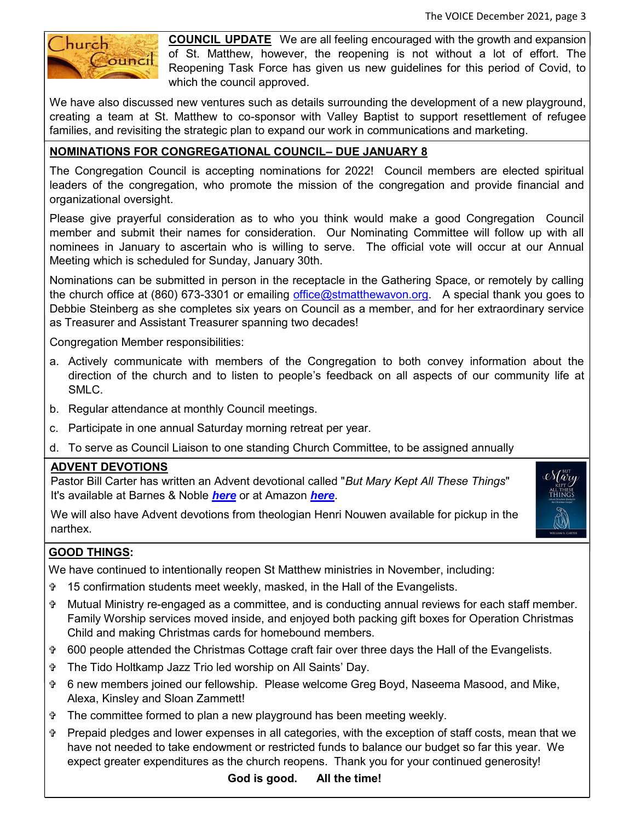

**COUNCIL UPDATE** We are all feeling encouraged with the growth and expansion of St. Matthew, however, the reopening is not without a lot of effort. The Reopening Task Force has given us new guidelines for this period of Covid, to which the council approved.

We have also discussed new ventures such as details surrounding the development of a new playground, creating a team at St. Matthew to co-sponsor with Valley Baptist to support resettlement of refugee families, and revisiting the strategic plan to expand our work in communications and marketing.

### **NOMINATIONS FOR CONGREGATIONAL COUNCIL– DUE JANUARY 8**

The Congregation Council is accepting nominations for 2022! Council members are elected spiritual leaders of the congregation, who promote the mission of the congregation and provide financial and organizational oversight.

Please give prayerful consideration as to who you think would make a good Congregation Council member and submit their names for consideration. Our Nominating Committee will follow up with all nominees in January to ascertain who is willing to serve. The official vote will occur at our Annual Meeting which is scheduled for Sunday, January 30th.

Nominations can be submitted in person in the receptacle in the Gathering Space, or remotely by calling the church office at (860) 673-3301 or emailing [office@stmatthewavon.org.](mailto:office@stmatthewavon.org) A special thank you goes to Debbie Steinberg as she completes six years on Council as a member, and for her extraordinary service as Treasurer and Assistant Treasurer spanning two decades!

Congregation Member responsibilities:

- a. Actively communicate with members of the Congregation to both convey information about the direction of the church and to listen to people's feedback on all aspects of our community life at SMLC.
- b. Regular attendance at monthly Council meetings.
- c. Participate in one annual Saturday morning retreat per year.
- d. To serve as Council Liaison to one standing Church Committee, to be assigned annually

#### **ADVENT DEVOTIONS**

Pastor Bill Carter has written an Advent devotional called "*But Mary Kept All These Things*" It's available at Barnes & Noble *[here](https://www.barnesandnoble.com/w/but-mary-kept-all-these-things-william-s-carter/1140391284)* or at Amazon *[here](https://www.amazon.com/But-Mary-Kept-These-Things/dp/0788030140/ref=sr_1_1?crid=1JNND046OKFXX&keywords=but+mary+kept+all+these+things&qid=1637345686&sprefix=But+Mary+%2Caps%2C153&sr=8-1)*.

We will also have Advent devotions from theologian Henri Nouwen available for pickup in the narthex.



We have continued to intentionally reopen St Matthew ministries in November, including:

- 15 confirmation students meet weekly, masked, in the Hall of the Evangelists.
- Mutual Ministry re-engaged as a committee, and is conducting annual reviews for each staff member. Family Worship services moved inside, and enjoyed both packing gift boxes for Operation Christmas Child and making Christmas cards for homebound members.
- 600 people attended the Christmas Cottage craft fair over three days the Hall of the Evangelists.
- The Tido Holtkamp Jazz Trio led worship on All Saints' Day.
- 6 new members joined our fellowship. Please welcome Greg Boyd, Naseema Masood, and Mike, Alexa, Kinsley and Sloan Zammett!
- The committee formed to plan a new playground has been meeting weekly.
- Prepaid pledges and lower expenses in all categories, with the exception of staff costs, mean that we have not needed to take endowment or restricted funds to balance our budget so far this year. We expect greater expenditures as the church reopens. Thank you for your continued generosity!

**God is good. All the time!**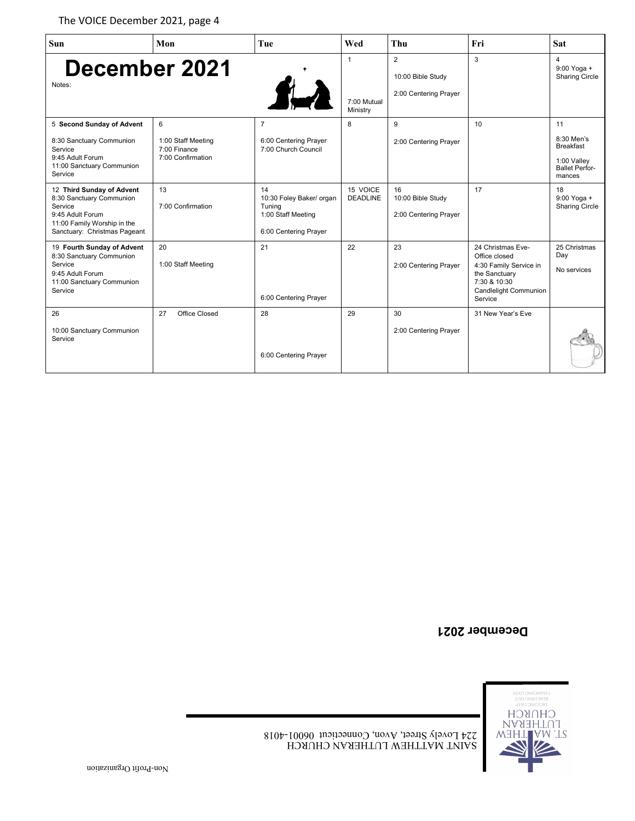| <b>Sun</b>                                                                                                                                          | Mon                                                          | Tue                                                                                     | Wed                                     | Thu                                              | Fri                                                                                                                               | <b>Sat</b>                                                                             |
|-----------------------------------------------------------------------------------------------------------------------------------------------------|--------------------------------------------------------------|-----------------------------------------------------------------------------------------|-----------------------------------------|--------------------------------------------------|-----------------------------------------------------------------------------------------------------------------------------------|----------------------------------------------------------------------------------------|
| December 2021<br>Notes:                                                                                                                             |                                                              | $f_{\rm tot}$                                                                           | $\mathbf{1}$<br>7:00 Mutual<br>Ministry | 2<br>10:00 Bible Study<br>2:00 Centering Prayer  | 3                                                                                                                                 | $\overline{4}$<br>$9:00$ Yoga +<br><b>Sharing Circle</b>                               |
| 5 Second Sunday of Advent<br>8:30 Sanctuary Communion<br>Service<br>9:45 Adult Forum<br>11:00 Sanctuary Communion<br>Service                        | 6<br>1:00 Staff Meeting<br>7:00 Finance<br>7:00 Confirmation | $\overline{7}$<br>6:00 Centering Prayer<br>7:00 Church Council                          | 8                                       | 9<br>2:00 Centering Prayer                       | 10                                                                                                                                | 11<br>8:30 Men's<br><b>Breakfast</b><br>1:00 Valley<br><b>Ballet Perfor-</b><br>mances |
| 12 Third Sunday of Advent<br>8:30 Sanctuary Communion<br>Service<br>9:45 Adult Forum<br>11:00 Family Worship in the<br>Sanctuary: Christmas Pageant | 13<br>7:00 Confirmation                                      | 14<br>10:30 Foley Baker/ organ<br>Tuning<br>1:00 Staff Meeting<br>6:00 Centering Prayer | 15 VOICE<br><b>DEADLINE</b>             | 16<br>10:00 Bible Study<br>2:00 Centering Prayer | 17                                                                                                                                | 18<br>9:00 Yoga +<br><b>Sharing Circle</b>                                             |
| 19 Fourth Sunday of Advent<br>8:30 Sanctuary Communion<br>Service<br>9:45 Adult Forum<br>11:00 Sanctuary Communion<br>Service                       | 20<br>1:00 Staff Meeting                                     | 21<br>6:00 Centering Prayer                                                             | 22                                      | 23<br>2:00 Centering Prayer                      | 24 Christmas Eve-<br>Office closed<br>4:30 Family Service in<br>the Sanctuary<br>7:30 & 10:30<br>Candlelight Communion<br>Service | 25 Christmas<br>Day<br>No services                                                     |
| 26<br>10:00 Sanctuary Communion<br>Service                                                                                                          | Office Closed<br>27                                          | 28<br>6:00 Centering Prayer                                                             | 29                                      | 30<br>2:00 Centering Prayer                      | 31 New Year's Eve                                                                                                                 |                                                                                        |

### **December 2021**

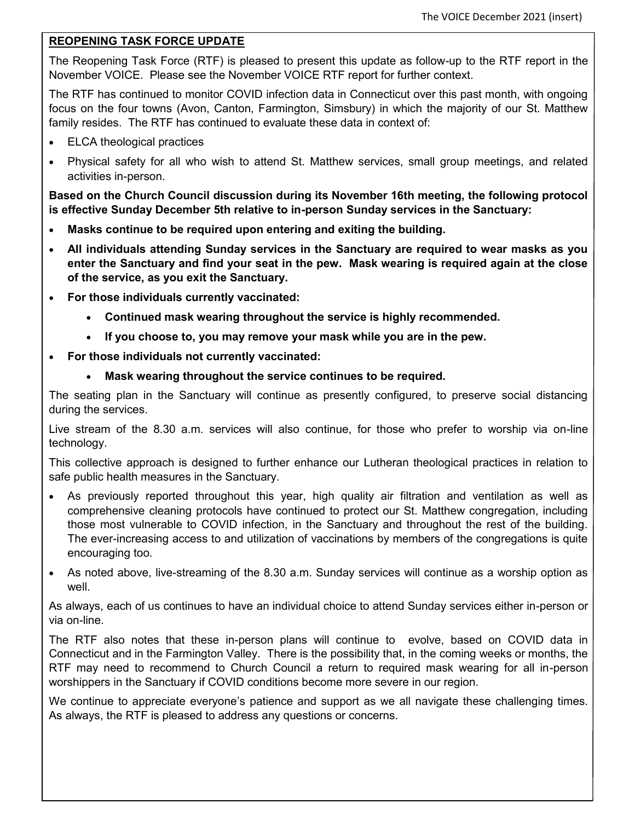#### **REOPENING TASK FORCE UPDATE**

The Reopening Task Force (RTF) is pleased to present this update as follow-up to the RTF report in the November VOICE. Please see the November VOICE RTF report for further context.

The RTF has continued to monitor COVID infection data in Connecticut over this past month, with ongoing focus on the four towns (Avon, Canton, Farmington, Simsbury) in which the majority of our St. Matthew family resides. The RTF has continued to evaluate these data in context of:

- ELCA theological practices
- Physical safety for all who wish to attend St. Matthew services, small group meetings, and related activities in-person.

**Based on the Church Council discussion during its November 16th meeting, the following protocol is effective Sunday December 5th relative to in-person Sunday services in the Sanctuary:**

- **Masks continue to be required upon entering and exiting the building.**
- **All individuals attending Sunday services in the Sanctuary are required to wear masks as you enter the Sanctuary and find your seat in the pew. Mask wearing is required again at the close of the service, as you exit the Sanctuary.**
- **For those individuals currently vaccinated:**
	- **Continued mask wearing throughout the service is highly recommended.**
	- **If you choose to, you may remove your mask while you are in the pew.**
- **For those individuals not currently vaccinated:**
	- **Mask wearing throughout the service continues to be required.**

The seating plan in the Sanctuary will continue as presently configured, to preserve social distancing during the services.

Live stream of the 8.30 a.m. services will also continue, for those who prefer to worship via on-line technology.

This collective approach is designed to further enhance our Lutheran theological practices in relation to safe public health measures in the Sanctuary.

- As previously reported throughout this year, high quality air filtration and ventilation as well as comprehensive cleaning protocols have continued to protect our St. Matthew congregation, including those most vulnerable to COVID infection, in the Sanctuary and throughout the rest of the building. The ever-increasing access to and utilization of vaccinations by members of the congregations is quite encouraging too.
- As noted above, live-streaming of the 8.30 a.m. Sunday services will continue as a worship option as well.

As always, each of us continues to have an individual choice to attend Sunday services either in-person or via on-line.

The RTF also notes that these in-person plans will continue to evolve, based on COVID data in Connecticut and in the Farmington Valley. There is the possibility that, in the coming weeks or months, the RTF may need to recommend to Church Council a return to required mask wearing for all in-person worshippers in the Sanctuary if COVID conditions become more severe in our region.

We continue to appreciate everyone's patience and support as we all navigate these challenging times. As always, the RTF is pleased to address any questions or concerns.